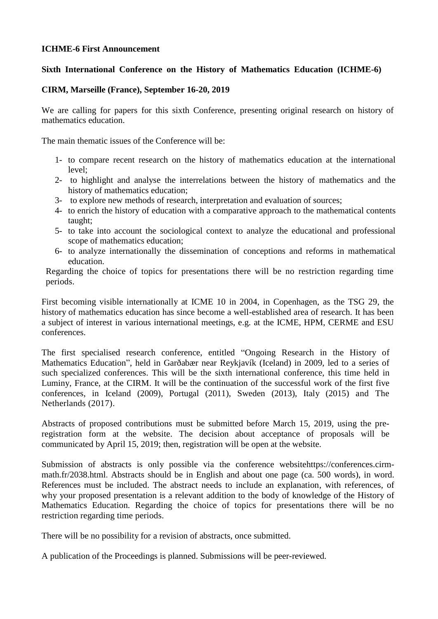#### **ICHME-6 First Announcement**

## **Sixth International Conference on the History of Mathematics Education (ICHME-6)**

## **CIRM, Marseille (France), September 16-20, 2019**

We are calling for papers for this sixth Conference, presenting original research on history of mathematics education.

The main thematic issues of the Conference will be:

- 1- to compare recent research on the history of mathematics education at the international level;
- 2- to highlight and analyse the interrelations between the history of mathematics and the history of mathematics education;
- 3- to explore new methods of research, interpretation and evaluation of sources;
- 4- to enrich the history of education with a comparative approach to the mathematical contents taught;
- 5- to take into account the sociological context to analyze the educational and professional scope of mathematics education;
- 6- to analyze internationally the dissemination of conceptions and reforms in mathematical education.

Regarding the choice of topics for presentations there will be no restriction regarding time periods.

First becoming visible internationally at ICME 10 in 2004, in Copenhagen, as the TSG 29, the history of mathematics education has since become a well-established area of research. It has been a subject of interest in various international meetings, e.g. at the ICME, HPM, CERME and ESU conferences.

The first specialised research conference, entitled "Ongoing Research in the History of Mathematics Education", held in Garðabær near Reykjavík (Iceland) in 2009, led to a series of such specialized conferences. This will be the sixth international conference, this time held in Luminy, France, at the CIRM. It will be the continuation of the successful work of the first five conferences, in Iceland (2009), Portugal (2011), Sweden (2013), Italy (2015) and The Netherlands (2017).

Abstracts of proposed contributions must be submitted before March 15, 2019, using the preregistration form at the website. The decision about acceptance of proposals will be communicated by April 15, 2019; then, registration will be open at the website.

Submission of abstracts is only possible via the conference websitehttps://conferences.cirmmath.fr/2038.html. Abstracts should be in English and about one page (ca. 500 words), in word. References must be included. The abstract needs to include an explanation, with references, of why your proposed presentation is a relevant addition to the body of knowledge of the History of Mathematics Education. Regarding the choice of topics for presentations there will be no restriction regarding time periods.

There will be no possibility for a revision of abstracts, once submitted.

A publication of the Proceedings is planned. Submissions will be peer-reviewed.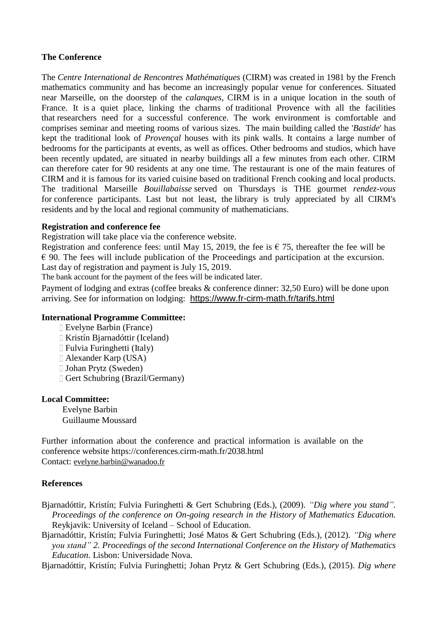# **The Conference**

The *Centre International de Rencontres Mathématiques* (CIRM) was created in 1981 by the French mathematics community and has become an increasingly popular venue for conferences. Situated near Marseille, on the doorstep of the *calanques*, CIRM is in a unique location in the south of France. It is a quiet place, linking the charms of traditional Provence with all the facilities that researchers need for a successful conference. The work environment is comfortable and comprises seminar and meeting rooms of various sizes. The main building called the '*Bastide*' has kept the traditional look of *Provençal* houses with its pink walls. It contains a large number of bedrooms for the participants at events, as well as offices. Other bedrooms and studios, which have been recently updated, are situated in nearby buildings all a few minutes from each other. CIRM can therefore cater for 90 residents at any one time. The restaurant is one of the main features of CIRM and it is famous for its varied cuisine based on traditional French cooking and local products. The traditional Marseille *Bouillabaisse* served on Thursdays is THE gourmet *rendez-vous* for conference participants. Last but not least, the library is truly appreciated by all CIRM's residents and by the local and regional community of mathematicians.

#### **Registration and conference fee**

Registration will take place via the conference website.

Registration and conference fees: until May 15, 2019, the fee is  $\epsilon$  75, thereafter the fee will be  $\epsilon$  90. The fees will include publication of the Proceedings and participation at the excursion. Last day of registration and payment is July 15, 2019.

The bank account for the payment of the fees will be indicated later.

Payment of lodging and extras (coffee breaks & conference dinner: 32,50 Euro) will be done upon arriving. See for information on lodging: <https://www.fr-cirm-math.fr/tarifs.html>

#### **International Programme Committee:**

- Evelyne Barbin (France)
- Kristín Bjarnadóttir (Iceland)
- Fulvia Furinghetti (Italy)
- Alexander Karp (USA)
- Johan Prytz (Sweden)
- Gert Schubring (Brazil/Germany)

# **Local Committee:**

Evelyne Barbin Guillaume Moussard

Further information about the conference and practical information is available on the conference website https://conferences.cirm-math.fr/2038.html Contact: [evelyne.barbin@wanadoo.fr](mailto:evelyne.barbin@wanadoo.fr)

#### **References**

- Bjarnadóttir, Kristín; Fulvia Furinghetti & Gert Schubring (Eds.), (2009). *"Dig where you stand". Proceedings of the conference on On-going research in the History of Mathematics Education.*  Reykjavik: University of Iceland – School of Education.
- Bjarnadóttir, Kristín; Fulvia Furinghetti; José Matos & Gert Schubring (Eds.), (2012). *"Dig where you stand" 2. Proceedings of the second International Conference on the History of Mathematics Education*. Lisbon: Universidade Nova.

Bjarnadóttir, Kristín; Fulvia Furinghetti; Johan Prytz & Gert Schubring (Eds.), (2015). *Dig where*